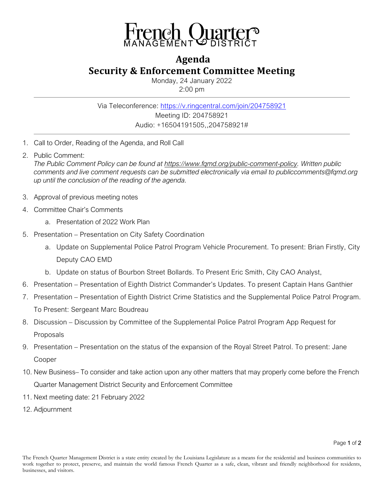

## **Agenda Security & Enforcement Committee Meeting**

Monday, 24 January 2022 2:00 pm

Via Teleconference:<https://v.ringcentral.com/join/204758921> Meeting ID: 204758921 Audio: +16504191505,,204758921#

- 1. Call to Order, Reading of the Agenda, and Roll Call
- 2. Public Comment:

*The Public Comment Policy can be found at [https://www.fqmd.org/public-comment-policy.](https://www.fqmd.org/public-comment-policy) Written public comments and live comment requests can be submitted electronically via email to publiccomments@fqmd.org up until the conclusion of the reading of the agenda.*

- 3. Approval of previous meeting notes
- 4. Committee Chair's Comments
	- a. Presentation of 2022 Work Plan
- 5. Presentation Presentation on City Safety Coordination
	- a. Update on Supplemental Police Patrol Program Vehicle Procurement. To present: Brian Firstly, City Deputy CAO EMD
	- b. Update on status of Bourbon Street Bollards. To Present Eric Smith, City CAO Analyst,
- 6. Presentation Presentation of Eighth District Commander's Updates. To present Captain Hans Ganthier
- 7. Presentation Presentation of Eighth District Crime Statistics and the Supplemental Police Patrol Program. To Present: Sergeant Marc Boudreau
- 8. Discussion Discussion by Committee of the Supplemental Police Patrol Program App Request for Proposals
- 9. Presentation Presentation on the status of the expansion of the Royal Street Patrol. To present: Jane Cooper
- 10. New Business– To consider and take action upon any other matters that may properly come before the French Quarter Management District Security and Enforcement Committee
- 11. Next meeting date: 21 February 2022
- 12. Adjournment